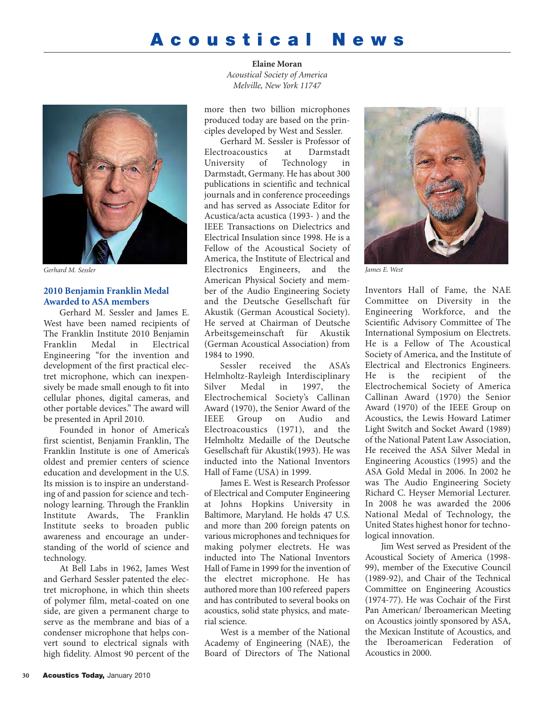# **Acoustical News**



# **2010 Benjamin Franklin Medal Awarded to ASA members**

Gerhard M. Sessler and James E. West have been named recipients of The Franklin Institute 2010 Benjamin<br>Franklin Medal in Electrical Franklin Medal in Electrical Engineering "for the invention and development of the first practical electret microphone, which can inexpensively be made small enough to fit into cellular phones, digital cameras, and other portable devices." The award will be presented in April 2010.

Founded in honor of America's first scientist, Benjamin Franklin, The Franklin Institute is one of America's oldest and premier centers of science education and development in the U.S. Its mission is to inspire an understanding of and passion for science and technology learning. Through the Franklin Institute Awards, The Franklin Institute seeks to broaden public awareness and encourage an understanding of the world of science and technology.

At Bell Labs in 1962, James West and Gerhard Sessler patented the electret microphone, in which thin sheets of polymer film, metal-coated on one side, are given a permanent charge to serve as the membrane and bias of a condenser microphone that helps convert sound to electrical signals with high fidelity. Almost 90 percent of the

**Elaine Moran** *Acoustical Society of America Melville, New York 11747*

more then two billion microphones produced today are based on the principles developed by West and Sessler.

Gerhard M. Sessler is Professor of Electroacoustics at Darmstadt University of Technology in Darmstadt, Germany. He has about 300 publications in scientific and technical journals and in conference proceedings and has served as Associate Editor for Acustica/acta acustica (1993- ) and the IEEE Transactions on Dielectrics and Electrical Insulation since 1998. He is a Fellow of the Acoustical Society of America, the Institute of Electrical and Electronics Engineers, and the *Gerhard M. Sessler James E. West* American Physical Society and member of the Audio Engineering Society and the Deutsche Gesellschaft für Akustik (German Acoustical Society). He served at Chairman of Deutsche Arbeitsgemeinschaft für Akustik (German Acoustical Association) from 1984 to 1990.

> Sessler received the ASA's Helmholtz-Rayleigh Interdisciplinary Silver Medal in 1997, the Electrochemical Society's Callinan Award (1970), the Senior Award of the IEEE Group on Audio and Electroacoustics (1971), and the Helmholtz Medaille of the Deutsche Gesellschaft für Akustik(1993). He was inducted into the National Inventors Hall of Fame (USA) in 1999.

> James E. West is Research Professor of Electrical and Computer Engineering at Johns Hopkins University in Baltimore, Maryland. He holds 47 U.S. and more than 200 foreign patents on various microphones and techniques for making polymer electrets. He was inducted into The National Inventors Hall of Fame in 1999 for the invention of the electret microphone. He has authored more than 100 refereed papers and has contributed to several books on acoustics, solid state physics, and material science.

> West is a member of the National Academy of Engineering (NAE), the Board of Directors of The National



Inventors Hall of Fame, the NAE Committee on Diversity in the Engineering Workforce, and the Scientific Advisory Committee of The International Symposium on Electrets. He is a Fellow of The Acoustical Society of America, and the Institute of Electrical and Electronics Engineers. He is the recipient of the Electrochemical Society of America Callinan Award (1970) the Senior Award (1970) of the IEEE Group on Acoustics, the Lewis Howard Latimer Light Switch and Socket Award (1989) of the National Patent Law Association, He received the ASA Silver Medal in Engineering Acoustics (1995) and the ASA Gold Medal in 2006. In 2002 he was The Audio Engineering Society Richard C. Heyser Memorial Lecturer. In 2008 he was awarded the 2006 National Medal of Technology, the United States highest honor for technological innovation.

Jim West served as President of the Acoustical Society of America (1998- 99), member of the Executive Council (1989-92), and Chair of the Technical Committee on Engineering Acoustics (1974-77). He was Cochair of the First Pan American/ Iberoamerican Meeting on Acoustics jointly sponsored by ASA, the Mexican Institute of Acoustics, and the Iberoamerican Federation of Acoustics in 2000.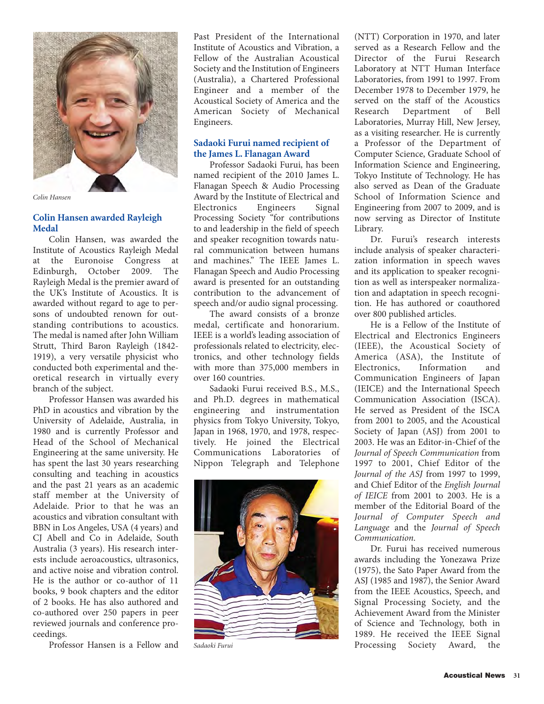

*Colin Hansen*

# **Colin Hansen awarded Rayleigh Medal**

Colin Hansen, was awarded the Institute of Acoustics Rayleigh Medal at the Euronoise Congress at Edinburgh, October 2009. The Rayleigh Medal is the premier award of the UK's Institute of Acoustics. It is awarded without regard to age to persons of undoubted renown for outstanding contributions to acoustics. The medal is named after John William Strutt, Third Baron Rayleigh (1842- 1919), a very versatile physicist who conducted both experimental and theoretical research in virtually every branch of the subject.

Professor Hansen was awarded his PhD in acoustics and vibration by the University of Adelaide, Australia, in 1980 and is currently Professor and Head of the School of Mechanical Engineering at the same university. He has spent the last 30 years researching consulting and teaching in acoustics and the past 21 years as an academic staff member at the University of Adelaide. Prior to that he was an acoustics and vibration consultant with BBN in Los Angeles, USA (4 years) and CJ Abell and Co in Adelaide, South Australia (3 years). His research interests include aeroacoustics, ultrasonics, and active noise and vibration control. He is the author or co-author of 11 books, 9 book chapters and the editor of 2 books. He has also authored and co-authored over 250 papers in peer reviewed journals and conference proceedings.

Professor Hansen is a Fellow and

Past President of the International Institute of Acoustics and Vibration, a Fellow of the Australian Acoustical Society and the Institution of Engineers (Australia), a Chartered Professional Engineer and a member of the Acoustical Society of America and the American Society of Mechanical Engineers.

### **Sadaoki Furui named recipient of the James L. Flanagan Award**

Professor Sadaoki Furui, has been named recipient of the 2010 James L. Flanagan Speech & Audio Processing Award by the Institute of Electrical and Electronics Engineers Signal Processing Society "for contributions to and leadership in the field of speech and speaker recognition towards natural communication between humans and machines." The IEEE James L. Flanagan Speech and Audio Processing award is presented for an outstanding contribution to the advancement of speech and/or audio signal processing.

The award consists of a bronze medal, certificate and honorarium. IEEE is a world's leading association of professionals related to electricity, electronics, and other technology fields with more than 375,000 members in over 160 countries.

Sadaoki Furui received B.S., M.S., and Ph.D. degrees in mathematical engineering and instrumentation physics from Tokyo University, Tokyo, Japan in 1968, 1970, and 1978, respectively. He joined the Electrical Communications Laboratories of Nippon Telegraph and Telephone



*Sadaoki Furui*

(NTT) Corporation in 1970, and later served as a Research Fellow and the Director of the Furui Research Laboratory at NTT Human Interface Laboratories, from 1991 to 1997. From December 1978 to December 1979, he served on the staff of the Acoustics Research Department of Bell Laboratories, Murray Hill, New Jersey, as a visiting researcher. He is currently a Professor of the Department of Computer Science, Graduate School of Information Science and Engineering, Tokyo Institute of Technology. He has also served as Dean of the Graduate School of Information Science and Engineering from 2007 to 2009, and is now serving as Director of Institute Library.

Dr. Furui's research interests include analysis of speaker characterization information in speech waves and its application to speaker recognition as well as interspeaker normalization and adaptation in speech recognition. He has authored or coauthored over 800 published articles.

He is a Fellow of the Institute of Electrical and Electronics Engineers (IEEE), the Acoustical Society of America (ASA), the Institute of Electronics, Information and Communication Engineers of Japan (IEICE) and the International Speech Communication Association (ISCA). He served as President of the ISCA from 2001 to 2005, and the Acoustical Society of Japan (ASJ) from 2001 to 2003. He was an Editor-in-Chief of the *Journal of Speech Communication* from 1997 to 2001, Chief Editor of the *Journal of the ASJ* from 1997 to 1999, and Chief Editor of the *English Journal of IEICE* from 2001 to 2003. He is a member of the Editorial Board of the *Journal of Computer Speech and Language* and the *Journal of Speech Communication*.

Dr. Furui has received numerous awards including the Yonezawa Prize (1975), the Sato Paper Award from the ASJ (1985 and 1987), the Senior Award from the IEEE Acoustics, Speech, and Signal Processing Society, and the Achievement Award from the Minister of Science and Technology, both in 1989. He received the IEEE Signal Processing Society Award, the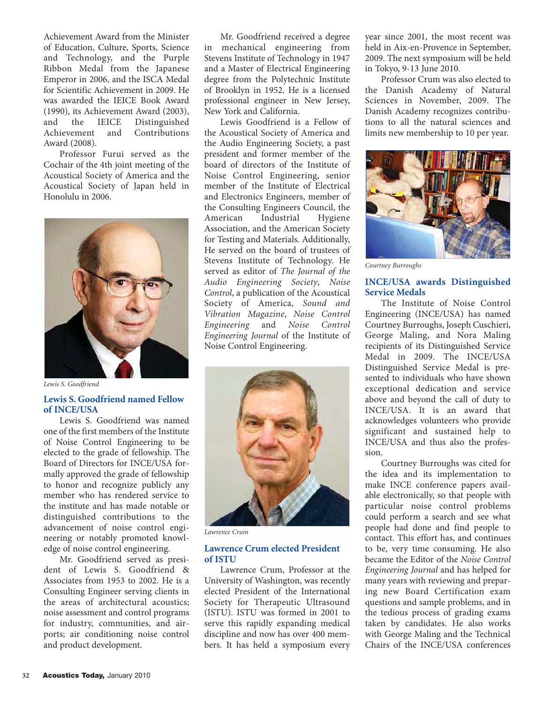Achievement Award from the Minister of Education, Culture, Sports, Science and Technology, and the Purple Ribbon Medal from the Japanese Emperor in 2006, and the ISCA Medal for Scientific Achievement in 2009. He was awarded the IEICE Book Award (1990), its Achievement Award (2003), and the IEICE Distinguished Achievement and Contributions Award (2008).

Professor Furui served as the Cochair of the 4th joint meeting of the Acoustical Society of America and the Acoustical Society of Japan held in Honolulu in 2006.



*Lewis S. Goodfriend*

# **Lewis S. Goodfriend named Fellow of INCE/USA**

Lewis S. Goodfriend was named one of the first members of the Institute of Noise Control Engineering to be elected to the grade of fellowship. The Board of Directors for INCE/USA formally approved the grade of fellowship to honor and recognize publicly any member who has rendered service to the institute and has made notable or distinguished contributions to the advancement of noise control engineering or notably promoted knowledge of noise control engineering.

Mr. Goodfriend served as president of Lewis S. Goodfriend & Associates from 1953 to 2002. He is a Consulting Engineer serving clients in the areas of architectural acoustics; noise assessment and control programs for industry, communities, and airports; air conditioning noise control and product development.

Mr. Goodfriend received a degree in mechanical engineering from Stevens Institute of Technology in 1947 and a Master of Electrical Engineering degree from the Polytechnic Institute of Brooklyn in 1952. He is a licensed professional engineer in New Jersey, New York and California.

Lewis Goodfriend is a Fellow of the Acoustical Society of America and the Audio Engineering Society, a past president and former member of the board of directors of the Institute of Noise Control Engineering, senior member of the Institute of Electrical and Electronics Engineers, member of the Consulting Engineers Council, the American Industrial Hygiene Association, and the American Society for Testing and Materials. Additionally, He served on the board of trustees of Stevens Institute of Technology. He served as editor of *The Journal of the Audio Engineering Society*, *Noise Control*, a publication of the Acoustical Society of America, *Sound and Vibration Magazine*, *Noise Control Engineering* and *Noise Control Engineering Journal* of the Institute of Noise Control Engineering.



*Lawrence Crum*

### **Lawrence Crum elected President of ISTU**

Lawrence Crum, Professor at the University of Washington, was recently elected President of the International Society for Therapeutic Ultrasound (ISTU). ISTU was formed in 2001 to serve this rapidly expanding medical discipline and now has over 400 members. It has held a symposium every year since 2001, the most recent was held in Aix-en-Provence in September, 2009. The next symposium will be held in Tokyo, 9-13 June 2010.

Professor Crum was also elected to the Danish Academy of Natural Sciences in November, 2009. The Danish Academy recognizes contributions to all the natural sciences and limits new membership to 10 per year.



*Courtney Burroughs*

# **INCE/USA awards Distinguished Service Medals**

The Institute of Noise Control Engineering (INCE/USA) has named Courtney Burroughs, Joseph Cuschieri, George Maling, and Nora Maling recipients of its Distinguished Service Medal in 2009. The INCE/USA Distinguished Service Medal is presented to individuals who have shown exceptional dedication and service above and beyond the call of duty to INCE/USA. It is an award that acknowledges volunteers who provide significant and sustained help to INCE/USA and thus also the profession.

Courtney Burroughs was cited for the idea and its implementation to make INCE conference papers available electronically, so that people with particular noise control problems could perform a search and see what people had done and find people to contact. This effort has, and continues to be, very time consuming. He also became the Editor of the *Noise Control Engineering Journal* and has helped for many years with reviewing and preparing new Board Certification exam questions and sample problems, and in the tedious process of grading exams taken by candidates. He also works with George Maling and the Technical Chairs of the INCE/USA conferences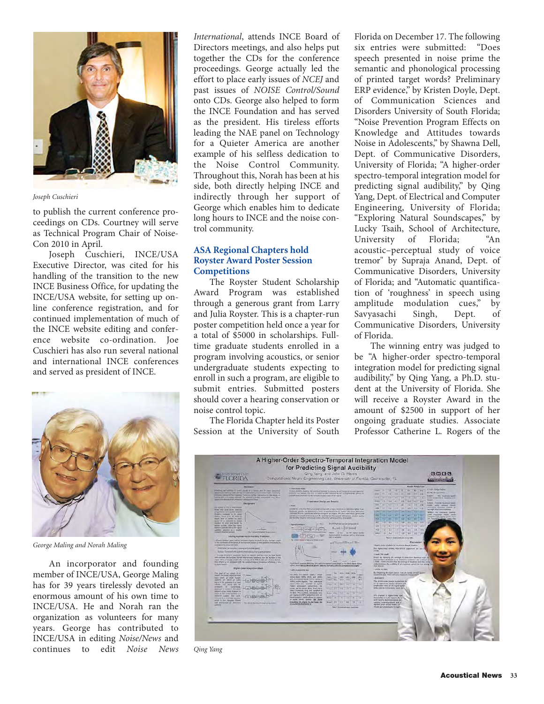

*Joseph Cuschieri*

to publish the current conference proceedings on CDs. Courtney will serve as Technical Program Chair of Noise-Con 2010 in April.

Joseph Cuschieri, INCE/USA Executive Director, was cited for his handling of the transition to the new INCE Business Office, for updating the INCE/USA website, for setting up online conference registration, and for continued implementation of much of the INCE website editing and conference website co-ordination. Joe Cuschieri has also run several national and international INCE conferences and served as president of INCE.



*George Maling and Norah Maling*

An incorporator and founding member of INCE/USA, George Maling has for 39 years tirelessly devoted an enormous amount of his own time to INCE/USA. He and Norah ran the organization as volunteers for many years. George has contributed to INCE/USA in editing *Noise/News* and continues to edit *Noise News*

*International*, attends INCE Board of Directors meetings, and also helps put together the CDs for the conference proceedings. George actually led the effort to place early issues of *NCEJ* and past issues of *NOISE Control/Sound* onto CDs. George also helped to form the INCE Foundation and has served as the president. His tireless efforts leading the NAE panel on Technology for a Quieter America are another example of his selfless dedication to the Noise Control Community. Throughout this, Norah has been at his side, both directly helping INCE and indirectly through her support of George which enables him to dedicate long hours to INCE and the noise control community.

# **ASA Regional Chapters hold Royster Award Poster Session Competitions**

The Royster Student Scholarship Award Program was established through a generous grant from Larry and Julia Royster. This is a chapter-run poster competition held once a year for a total of \$5000 in scholarships. Fulltime graduate students enrolled in a program involving acoustics, or senior undergraduate students expecting to enroll in such a program, are eligible to submit entries. Submitted posters should cover a hearing conservation or noise control topic.

The Florida Chapter held its Poster Session at the University of South Florida on December 17. The following six entries were submitted: "Does speech presented in noise prime the semantic and phonological processing of printed target words? Preliminary ERP evidence," by Kristen Doyle, Dept. of Communication Sciences and Disorders University of South Florida; "Noise Prevention Program Effects on Knowledge and Attitudes towards Noise in Adolescents," by Shawna Dell, Dept. of Communicative Disorders, University of Florida; "A higher-order spectro-temporal integration model for predicting signal audibility," by Qing Yang, Dept. of Electrical and Computer Engineering, University of Florida; "Exploring Natural Soundscapes," by Lucky Tsaih, School of Architecture, University of Florida; "An acoustic–perceptual study of voice tremor" by Supraja Anand, Dept. of Communicative Disorders, University of Florida; and "Automatic quantification of 'roughness' in speech using amplitude modulation cues," by Savyasachi Singh, Dept. of Communicative Disorders, University of Florida.

The winning entry was judged to be "A higher-order spectro-temporal integration model for predicting signal audibility," by Qing Yang, a Ph.D. student at the University of Florida. She will receive a Royster Award in the amount of \$2500 in support of her ongoing graduate studies. Associate Professor Catherine L. Rogers of the



*Qing Yang*